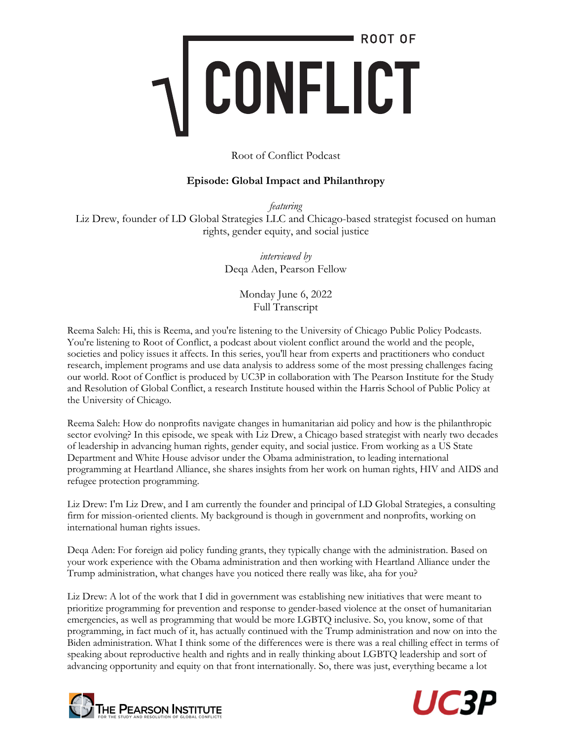#### Root of Conflict Podcast

#### **Episode: Global Impact and Philanthropy**

*featuring* Liz Drew, founder of LD Global Strategies LLC and Chicago-based strategist focused on human rights, gender equity, and social justice

> *interviewed by* Deqa Aden, Pearson Fellow

> > Monday June 6, 2022 Full Transcript

Reema Saleh: Hi, this is Reema, and you're listening to the University of Chicago Public Policy Podcasts. You're listening to Root of Conflict, a podcast about violent conflict around the world and the people, societies and policy issues it affects. In this series, you'll hear from experts and practitioners who conduct research, implement programs and use data analysis to address some of the most pressing challenges facing our world. Root of Conflict is produced by UC3P in collaboration with The Pearson Institute for the Study and Resolution of Global Conflict, a research Institute housed within the Harris School of Public Policy at the University of Chicago.

Reema Saleh: How do nonprofits navigate changes in humanitarian aid policy and how is the philanthropic sector evolving? In this episode, we speak with Liz Drew, a Chicago based strategist with nearly two decades of leadership in advancing human rights, gender equity, and social justice. From working as a US State Department and White House advisor under the Obama administration, to leading international programming at Heartland Alliance, she shares insights from her work on human rights, HIV and AIDS and refugee protection programming.

Liz Drew: I'm Liz Drew, and I am currently the founder and principal of LD Global Strategies, a consulting firm for mission-oriented clients. My background is though in government and nonprofits, working on international human rights issues.

Deqa Aden: For foreign aid policy funding grants, they typically change with the administration. Based on your work experience with the Obama administration and then working with Heartland Alliance under the Trump administration, what changes have you noticed there really was like, aha for you?

Liz Drew: A lot of the work that I did in government was establishing new initiatives that were meant to prioritize programming for prevention and response to gender-based violence at the onset of humanitarian emergencies, as well as programming that would be more LGBTQ inclusive. So, you know, some of that programming, in fact much of it, has actually continued with the Trump administration and now on into the Biden administration. What I think some of the differences were is there was a real chilling effect in terms of speaking about reproductive health and rights and in really thinking about LGBTQ leadership and sort of advancing opportunity and equity on that front internationally. So, there was just, everything became a lot



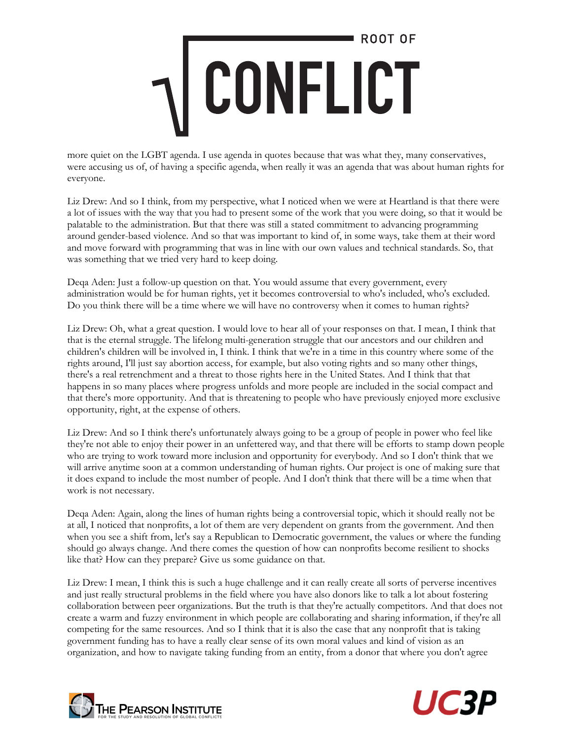more quiet on the LGBT agenda. I use agenda in quotes because that was what they, many conservatives, were accusing us of, of having a specific agenda, when really it was an agenda that was about human rights for everyone.

Liz Drew: And so I think, from my perspective, what I noticed when we were at Heartland is that there were a lot of issues with the way that you had to present some of the work that you were doing, so that it would be palatable to the administration. But that there was still a stated commitment to advancing programming around gender-based violence. And so that was important to kind of, in some ways, take them at their word and move forward with programming that was in line with our own values and technical standards. So, that was something that we tried very hard to keep doing.

Deqa Aden: Just a follow-up question on that. You would assume that every government, every administration would be for human rights, yet it becomes controversial to who's included, who's excluded. Do you think there will be a time where we will have no controversy when it comes to human rights?

Liz Drew: Oh, what a great question. I would love to hear all of your responses on that. I mean, I think that that is the eternal struggle. The lifelong multi-generation struggle that our ancestors and our children and children's children will be involved in, I think. I think that we're in a time in this country where some of the rights around, I'll just say abortion access, for example, but also voting rights and so many other things, there's a real retrenchment and a threat to those rights here in the United States. And I think that that happens in so many places where progress unfolds and more people are included in the social compact and that there's more opportunity. And that is threatening to people who have previously enjoyed more exclusive opportunity, right, at the expense of others.

Liz Drew: And so I think there's unfortunately always going to be a group of people in power who feel like they're not able to enjoy their power in an unfettered way, and that there will be efforts to stamp down people who are trying to work toward more inclusion and opportunity for everybody. And so I don't think that we will arrive anytime soon at a common understanding of human rights. Our project is one of making sure that it does expand to include the most number of people. And I don't think that there will be a time when that work is not necessary.

Deqa Aden: Again, along the lines of human rights being a controversial topic, which it should really not be at all, I noticed that nonprofits, a lot of them are very dependent on grants from the government. And then when you see a shift from, let's say a Republican to Democratic government, the values or where the funding should go always change. And there comes the question of how can nonprofits become resilient to shocks like that? How can they prepare? Give us some guidance on that.

Liz Drew: I mean, I think this is such a huge challenge and it can really create all sorts of perverse incentives and just really structural problems in the field where you have also donors like to talk a lot about fostering collaboration between peer organizations. But the truth is that they're actually competitors. And that does not create a warm and fuzzy environment in which people are collaborating and sharing information, if they're all competing for the same resources. And so I think that it is also the case that any nonprofit that is taking government funding has to have a really clear sense of its own moral values and kind of vision as an organization, and how to navigate taking funding from an entity, from a donor that where you don't agree



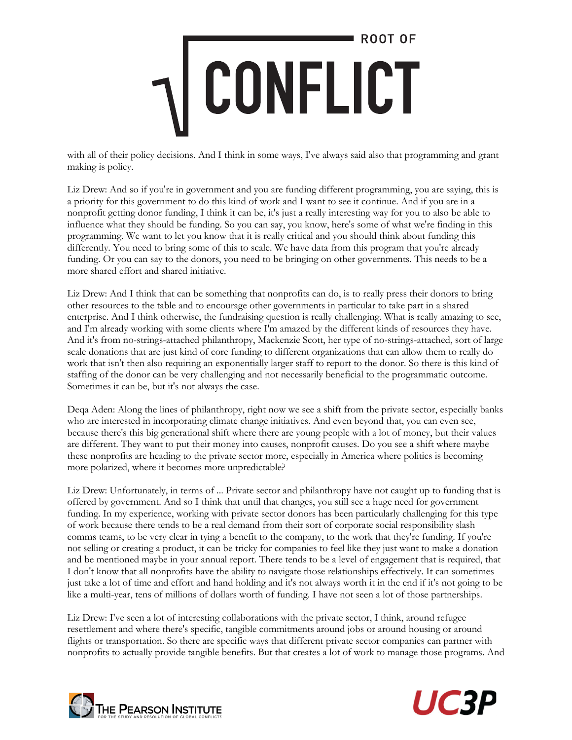with all of their policy decisions. And I think in some ways, I've always said also that programming and grant making is policy.

Liz Drew: And so if you're in government and you are funding different programming, you are saying, this is a priority for this government to do this kind of work and I want to see it continue. And if you are in a nonprofit getting donor funding, I think it can be, it's just a really interesting way for you to also be able to influence what they should be funding. So you can say, you know, here's some of what we're finding in this programming. We want to let you know that it is really critical and you should think about funding this differently. You need to bring some of this to scale. We have data from this program that you're already funding. Or you can say to the donors, you need to be bringing on other governments. This needs to be a more shared effort and shared initiative.

Liz Drew: And I think that can be something that nonprofits can do, is to really press their donors to bring other resources to the table and to encourage other governments in particular to take part in a shared enterprise. And I think otherwise, the fundraising question is really challenging. What is really amazing to see, and I'm already working with some clients where I'm amazed by the different kinds of resources they have. And it's from no-strings-attached philanthropy, Mackenzie Scott, her type of no-strings-attached, sort of large scale donations that are just kind of core funding to different organizations that can allow them to really do work that isn't then also requiring an exponentially larger staff to report to the donor. So there is this kind of staffing of the donor can be very challenging and not necessarily beneficial to the programmatic outcome. Sometimes it can be, but it's not always the case.

Deqa Aden: Along the lines of philanthropy, right now we see a shift from the private sector, especially banks who are interested in incorporating climate change initiatives. And even beyond that, you can even see, because there's this big generational shift where there are young people with a lot of money, but their values are different. They want to put their money into causes, nonprofit causes. Do you see a shift where maybe these nonprofits are heading to the private sector more, especially in America where politics is becoming more polarized, where it becomes more unpredictable?

Liz Drew: Unfortunately, in terms of ... Private sector and philanthropy have not caught up to funding that is offered by government. And so I think that until that changes, you still see a huge need for government funding. In my experience, working with private sector donors has been particularly challenging for this type of work because there tends to be a real demand from their sort of corporate social responsibility slash comms teams, to be very clear in tying a benefit to the company, to the work that they're funding. If you're not selling or creating a product, it can be tricky for companies to feel like they just want to make a donation and be mentioned maybe in your annual report. There tends to be a level of engagement that is required, that I don't know that all nonprofits have the ability to navigate those relationships effectively. It can sometimes just take a lot of time and effort and hand holding and it's not always worth it in the end if it's not going to be like a multi-year, tens of millions of dollars worth of funding. I have not seen a lot of those partnerships.

Liz Drew: I've seen a lot of interesting collaborations with the private sector, I think, around refugee resettlement and where there's specific, tangible commitments around jobs or around housing or around flights or transportation. So there are specific ways that different private sector companies can partner with nonprofits to actually provide tangible benefits. But that creates a lot of work to manage those programs. And



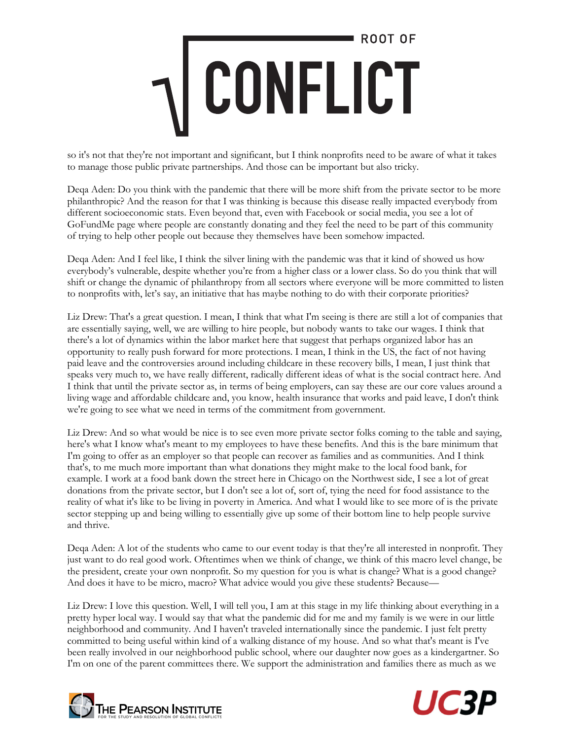so it's not that they're not important and significant, but I think nonprofits need to be aware of what it takes to manage those public private partnerships. And those can be important but also tricky.

Deqa Aden: Do you think with the pandemic that there will be more shift from the private sector to be more philanthropic? And the reason for that I was thinking is because this disease really impacted everybody from different socioeconomic stats. Even beyond that, even with Facebook or social media, you see a lot of GoFundMe page where people are constantly donating and they feel the need to be part of this community of trying to help other people out because they themselves have been somehow impacted.

Deqa Aden: And I feel like, I think the silver lining with the pandemic was that it kind of showed us how everybody's vulnerable, despite whether you're from a higher class or a lower class. So do you think that will shift or change the dynamic of philanthropy from all sectors where everyone will be more committed to listen to nonprofits with, let's say, an initiative that has maybe nothing to do with their corporate priorities?

Liz Drew: That's a great question. I mean, I think that what I'm seeing is there are still a lot of companies that are essentially saying, well, we are willing to hire people, but nobody wants to take our wages. I think that there's a lot of dynamics within the labor market here that suggest that perhaps organized labor has an opportunity to really push forward for more protections. I mean, I think in the US, the fact of not having paid leave and the controversies around including childcare in these recovery bills, I mean, I just think that speaks very much to, we have really different, radically different ideas of what is the social contract here. And I think that until the private sector as, in terms of being employers, can say these are our core values around a living wage and affordable childcare and, you know, health insurance that works and paid leave, I don't think we're going to see what we need in terms of the commitment from government.

Liz Drew: And so what would be nice is to see even more private sector folks coming to the table and saying, here's what I know what's meant to my employees to have these benefits. And this is the bare minimum that I'm going to offer as an employer so that people can recover as families and as communities. And I think that's, to me much more important than what donations they might make to the local food bank, for example. I work at a food bank down the street here in Chicago on the Northwest side, I see a lot of great donations from the private sector, but I don't see a lot of, sort of, tying the need for food assistance to the reality of what it's like to be living in poverty in America. And what I would like to see more of is the private sector stepping up and being willing to essentially give up some of their bottom line to help people survive and thrive.

Deqa Aden: A lot of the students who came to our event today is that they're all interested in nonprofit. They just want to do real good work. Oftentimes when we think of change, we think of this macro level change, be the president, create your own nonprofit. So my question for you is what is change? What is a good change? And does it have to be micro, macro? What advice would you give these students? Because—

Liz Drew: I love this question. Well, I will tell you, I am at this stage in my life thinking about everything in a pretty hyper local way. I would say that what the pandemic did for me and my family is we were in our little neighborhood and community. And I haven't traveled internationally since the pandemic. I just felt pretty committed to being useful within kind of a walking distance of my house. And so what that's meant is I've been really involved in our neighborhood public school, where our daughter now goes as a kindergartner. So I'm on one of the parent committees there. We support the administration and families there as much as we



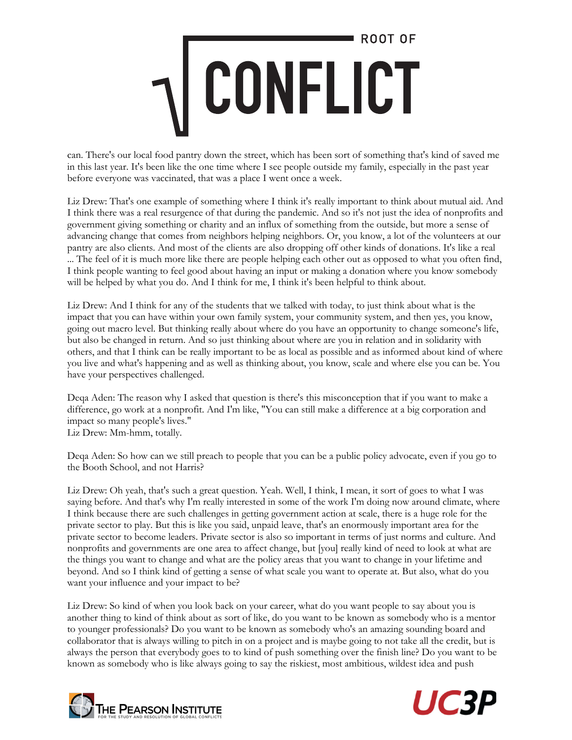can. There's our local food pantry down the street, which has been sort of something that's kind of saved me in this last year. It's been like the one time where I see people outside my family, especially in the past year before everyone was vaccinated, that was a place I went once a week.

Liz Drew: That's one example of something where I think it's really important to think about mutual aid. And I think there was a real resurgence of that during the pandemic. And so it's not just the idea of nonprofits and government giving something or charity and an influx of something from the outside, but more a sense of advancing change that comes from neighbors helping neighbors. Or, you know, a lot of the volunteers at our pantry are also clients. And most of the clients are also dropping off other kinds of donations. It's like a real ... The feel of it is much more like there are people helping each other out as opposed to what you often find, I think people wanting to feel good about having an input or making a donation where you know somebody will be helped by what you do. And I think for me, I think it's been helpful to think about.

Liz Drew: And I think for any of the students that we talked with today, to just think about what is the impact that you can have within your own family system, your community system, and then yes, you know, going out macro level. But thinking really about where do you have an opportunity to change someone's life, but also be changed in return. And so just thinking about where are you in relation and in solidarity with others, and that I think can be really important to be as local as possible and as informed about kind of where you live and what's happening and as well as thinking about, you know, scale and where else you can be. You have your perspectives challenged.

Deqa Aden: The reason why I asked that question is there's this misconception that if you want to make a difference, go work at a nonprofit. And I'm like, "You can still make a difference at a big corporation and impact so many people's lives." Liz Drew: Mm-hmm, totally.

Deqa Aden: So how can we still preach to people that you can be a public policy advocate, even if you go to the Booth School, and not Harris?

Liz Drew: Oh yeah, that's such a great question. Yeah. Well, I think, I mean, it sort of goes to what I was saying before. And that's why I'm really interested in some of the work I'm doing now around climate, where I think because there are such challenges in getting government action at scale, there is a huge role for the private sector to play. But this is like you said, unpaid leave, that's an enormously important area for the private sector to become leaders. Private sector is also so important in terms of just norms and culture. And nonprofits and governments are one area to affect change, but [you] really kind of need to look at what are the things you want to change and what are the policy areas that you want to change in your lifetime and beyond. And so I think kind of getting a sense of what scale you want to operate at. But also, what do you want your influence and your impact to be?

Liz Drew: So kind of when you look back on your career, what do you want people to say about you is another thing to kind of think about as sort of like, do you want to be known as somebody who is a mentor to younger professionals? Do you want to be known as somebody who's an amazing sounding board and collaborator that is always willing to pitch in on a project and is maybe going to not take all the credit, but is always the person that everybody goes to to kind of push something over the finish line? Do you want to be known as somebody who is like always going to say the riskiest, most ambitious, wildest idea and push



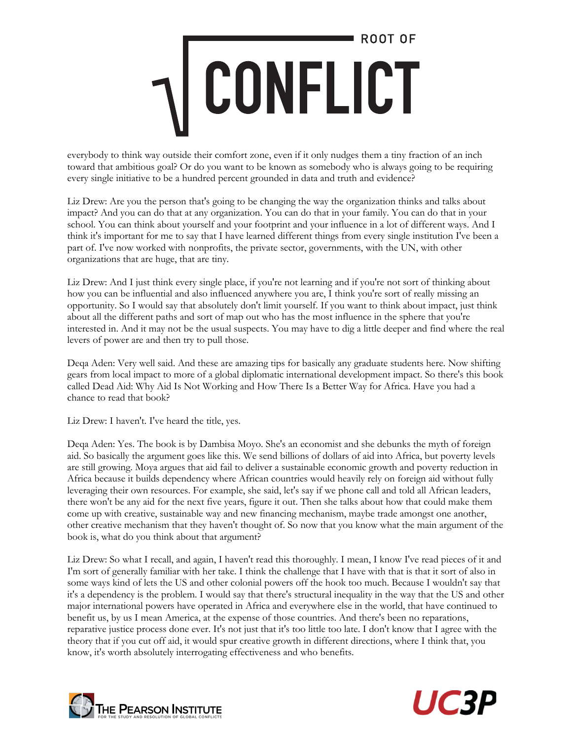everybody to think way outside their comfort zone, even if it only nudges them a tiny fraction of an inch toward that ambitious goal? Or do you want to be known as somebody who is always going to be requiring every single initiative to be a hundred percent grounded in data and truth and evidence?

Liz Drew: Are you the person that's going to be changing the way the organization thinks and talks about impact? And you can do that at any organization. You can do that in your family. You can do that in your school. You can think about yourself and your footprint and your influence in a lot of different ways. And I think it's important for me to say that I have learned different things from every single institution I've been a part of. I've now worked with nonprofits, the private sector, governments, with the UN, with other organizations that are huge, that are tiny.

Liz Drew: And I just think every single place, if you're not learning and if you're not sort of thinking about how you can be influential and also influenced anywhere you are, I think you're sort of really missing an opportunity. So I would say that absolutely don't limit yourself. If you want to think about impact, just think about all the different paths and sort of map out who has the most influence in the sphere that you're interested in. And it may not be the usual suspects. You may have to dig a little deeper and find where the real levers of power are and then try to pull those.

Deqa Aden: Very well said. And these are amazing tips for basically any graduate students here. Now shifting gears from local impact to more of a global diplomatic international development impact. So there's this book called Dead Aid: Why Aid Is Not Working and How There Is a Better Way for Africa. Have you had a chance to read that book?

Liz Drew: I haven't. I've heard the title, yes.

Deqa Aden: Yes. The book is by Dambisa Moyo. She's an economist and she debunks the myth of foreign aid. So basically the argument goes like this. We send billions of dollars of aid into Africa, but poverty levels are still growing. Moya argues that aid fail to deliver a sustainable economic growth and poverty reduction in Africa because it builds dependency where African countries would heavily rely on foreign aid without fully leveraging their own resources. For example, she said, let's say if we phone call and told all African leaders, there won't be any aid for the next five years, figure it out. Then she talks about how that could make them come up with creative, sustainable way and new financing mechanism, maybe trade amongst one another, other creative mechanism that they haven't thought of. So now that you know what the main argument of the book is, what do you think about that argument?

Liz Drew: So what I recall, and again, I haven't read this thoroughly. I mean, I know I've read pieces of it and I'm sort of generally familiar with her take. I think the challenge that I have with that is that it sort of also in some ways kind of lets the US and other colonial powers off the hook too much. Because I wouldn't say that it's a dependency is the problem. I would say that there's structural inequality in the way that the US and other major international powers have operated in Africa and everywhere else in the world, that have continued to benefit us, by us I mean America, at the expense of those countries. And there's been no reparations, reparative justice process done ever. It's not just that it's too little too late. I don't know that I agree with the theory that if you cut off aid, it would spur creative growth in different directions, where I think that, you know, it's worth absolutely interrogating effectiveness and who benefits.



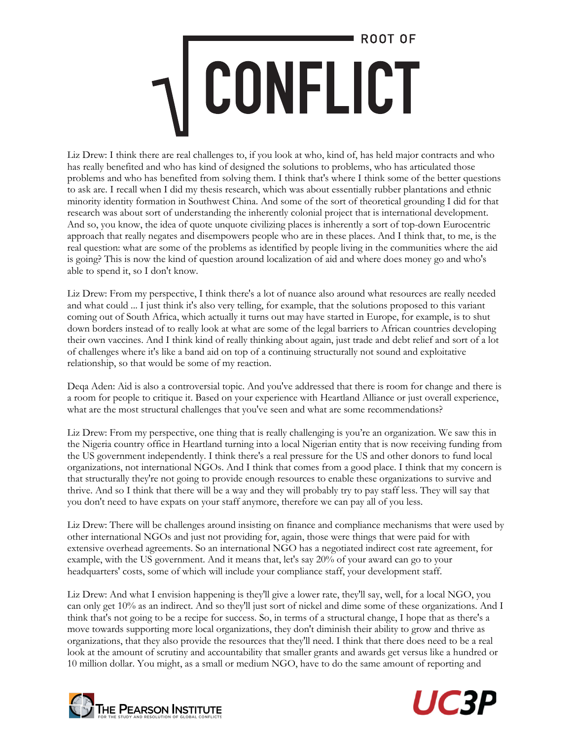Liz Drew: I think there are real challenges to, if you look at who, kind of, has held major contracts and who has really benefited and who has kind of designed the solutions to problems, who has articulated those problems and who has benefited from solving them. I think that's where I think some of the better questions to ask are. I recall when I did my thesis research, which was about essentially rubber plantations and ethnic minority identity formation in Southwest China. And some of the sort of theoretical grounding I did for that research was about sort of understanding the inherently colonial project that is international development. And so, you know, the idea of quote unquote civilizing places is inherently a sort of top-down Eurocentric approach that really negates and disempowers people who are in these places. And I think that, to me, is the real question: what are some of the problems as identified by people living in the communities where the aid is going? This is now the kind of question around localization of aid and where does money go and who's able to spend it, so I don't know.

Liz Drew: From my perspective, I think there's a lot of nuance also around what resources are really needed and what could ... I just think it's also very telling, for example, that the solutions proposed to this variant coming out of South Africa, which actually it turns out may have started in Europe, for example, is to shut down borders instead of to really look at what are some of the legal barriers to African countries developing their own vaccines. And I think kind of really thinking about again, just trade and debt relief and sort of a lot of challenges where it's like a band aid on top of a continuing structurally not sound and exploitative relationship, so that would be some of my reaction.

Deqa Aden: Aid is also a controversial topic. And you've addressed that there is room for change and there is a room for people to critique it. Based on your experience with Heartland Alliance or just overall experience, what are the most structural challenges that you've seen and what are some recommendations?

Liz Drew: From my perspective, one thing that is really challenging is you're an organization. We saw this in the Nigeria country office in Heartland turning into a local Nigerian entity that is now receiving funding from the US government independently. I think there's a real pressure for the US and other donors to fund local organizations, not international NGOs. And I think that comes from a good place. I think that my concern is that structurally they're not going to provide enough resources to enable these organizations to survive and thrive. And so I think that there will be a way and they will probably try to pay staff less. They will say that you don't need to have expats on your staff anymore, therefore we can pay all of you less.

Liz Drew: There will be challenges around insisting on finance and compliance mechanisms that were used by other international NGOs and just not providing for, again, those were things that were paid for with extensive overhead agreements. So an international NGO has a negotiated indirect cost rate agreement, for example, with the US government. And it means that, let's say 20% of your award can go to your headquarters' costs, some of which will include your compliance staff, your development staff.

Liz Drew: And what I envision happening is they'll give a lower rate, they'll say, well, for a local NGO, you can only get 10% as an indirect. And so they'll just sort of nickel and dime some of these organizations. And I think that's not going to be a recipe for success. So, in terms of a structural change, I hope that as there's a move towards supporting more local organizations, they don't diminish their ability to grow and thrive as organizations, that they also provide the resources that they'll need. I think that there does need to be a real look at the amount of scrutiny and accountability that smaller grants and awards get versus like a hundred or 10 million dollar. You might, as a small or medium NGO, have to do the same amount of reporting and



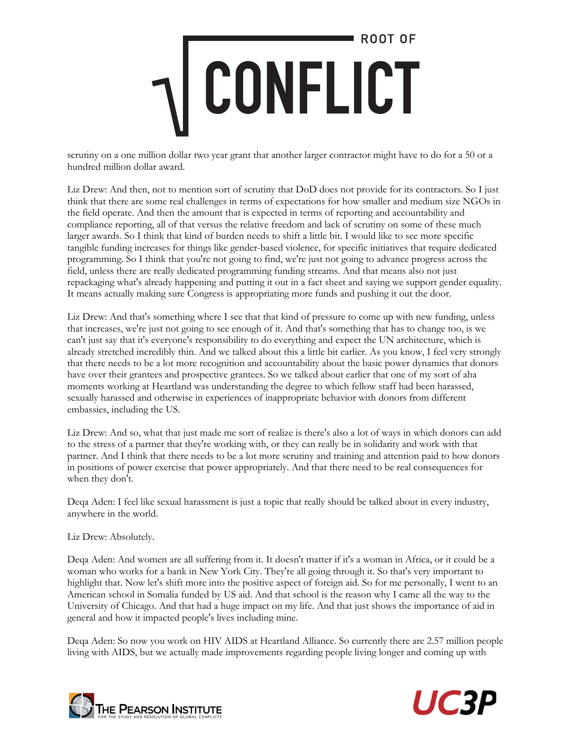scrutiny on a one million dollar two year grant that another larger contractor might have to do for a 50 or a hundred million dollar award.

Liz Drew: And then, not to mention sort of scrutiny that DoD does not provide for its contractors. So I just think that there are some real challenges in terms of expectations for how smaller and medium size NGOs in the field operate. And then the amount that is expected in terms of reporting and accountability and compliance reporting, all of that versus the relative freedom and lack of scrutiny on some of these much larger awards. So I think that kind of burden needs to shift a little bit. I would like to see more specific tangible funding increases for things like gender-based violence, for specific initiatives that require dedicated programming. So I think that you're not going to find, we're just not going to advance progress across the field, unless there are really dedicated programming funding streams. And that means also not just repackaging what's already happening and putting it out in a fact sheet and saying we support gender equality. It means actually making sure Congress is appropriating more funds and pushing it out the door.

Liz Drew: And that's something where I see that that kind of pressure to come up with new funding, unless that increases, we're just not going to see enough of it. And that's something that has to change too, is we can't just say that it's everyone's responsibility to do everything and expect the UN architecture, which is already stretched incredibly thin. And we talked about this a little bit earlier. As you know, I feel very strongly that there needs to be a lot more recognition and accountability about the basic power dynamics that donors have over their grantees and prospective grantees. So we talked about earlier that one of my sort of aha moments working at Heartland was understanding the degree to which fellow staff had been harassed, sexually harassed and otherwise in experiences of inappropriate behavior with donors from different embassies, including the US.

Liz Drew: And so, what that just made me sort of realize is there's also a lot of ways in which donors can add to the stress of a partner that they're working with, or they can really be in solidarity and work with that partner. And I think that there needs to be a lot more scrutiny and training and attention paid to how donors in positions of power exercise that power appropriately. And that there need to be real consequences for when they don't.

Deqa Aden: I feel like sexual harassment is just a topic that really should be talked about in every industry, anywhere in the world.

#### Liz Drew: Absolutely.

Deqa Aden: And women are all suffering from it. It doesn't matter if it's a woman in Africa, or it could be a woman who works for a bank in New York City. They're all going through it. So that's very important to highlight that. Now let's shift more into the positive aspect of foreign aid. So for me personally, I went to an American school in Somalia funded by US aid. And that school is the reason why I came all the way to the University of Chicago. And that had a huge impact on my life. And that just shows the importance of aid in general and how it impacted people's lives including mine.

Deqa Aden: So now you work on HIV AIDS at Heartland Alliance. So currently there are 2.57 million people living with AIDS, but we actually made improvements regarding people living longer and coming up with



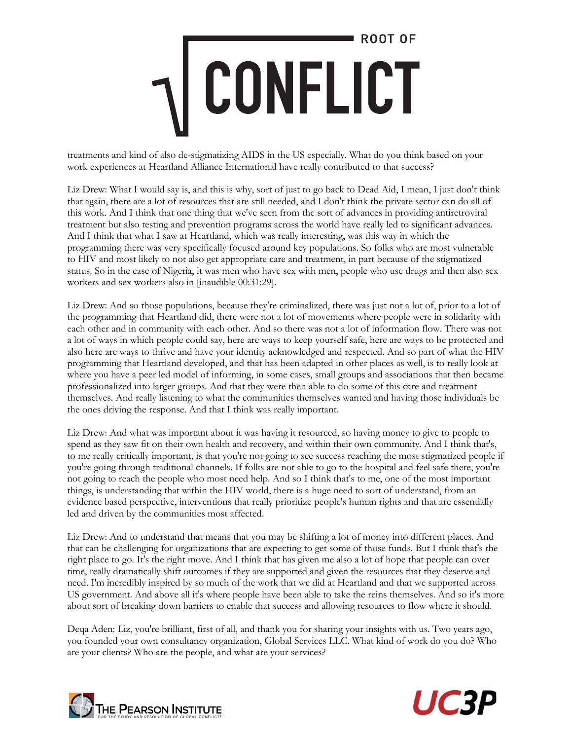treatments and kind of also de-stigmatizing AIDS in the US especially. What do you think based on your work experiences at Heartland Alliance International have really contributed to that success?

Liz Drew: What I would say is, and this is why, sort of just to go back to Dead Aid, I mean, I just don't think that again, there are a lot of resources that are still needed, and I don't think the private sector can do all of this work. And I think that one thing that we've seen from the sort of advances in providing antiretroviral treatment but also testing and prevention programs across the world have really led to significant advances. And I think that what I saw at Heartland, which was really interesting, was this way in which the programming there was very specifically focused around key populations. So folks who are most vulnerable to HIV and most likely to not also get appropriate care and treatment, in part because of the stigmatized status. So in the case of Nigeria, it was men who have sex with men, people who use drugs and then also sex workers and sex workers also in [inaudible 00:31:29].

Liz Drew: And so those populations, because they're criminalized, there was just not a lot of, prior to a lot of the programming that Heartland did, there were not a lot of movements where people were in solidarity with each other and in community with each other. And so there was not a lot of information flow. There was not a lot of ways in which people could say, here are ways to keep yourself safe, here are ways to be protected and also here are ways to thrive and have your identity acknowledged and respected. And so part of what the HIV programming that Heartland developed, and that has been adapted in other places as well, is to really look at where you have a peer led model of informing, in some cases, small groups and associations that then became professionalized into larger groups. And that they were then able to do some of this care and treatment themselves. And really listening to what the communities themselves wanted and having those individuals be the ones driving the response. And that I think was really important.

Liz Drew: And what was important about it was having it resourced, so having money to give to people to spend as they saw fit on their own health and recovery, and within their own community. And I think that's, to me really critically important, is that you're not going to see success reaching the most stigmatized people if you're going through traditional channels. If folks are not able to go to the hospital and feel safe there, you're not going to reach the people who most need help. And so I think that's to me, one of the most important things, is understanding that within the HIV world, there is a huge need to sort of understand, from an evidence based perspective, interventions that really prioritize people's human rights and that are essentially led and driven by the communities most affected.

Liz Drew: And to understand that means that you may be shifting a lot of money into different places. And that can be challenging for organizations that are expecting to get some of those funds. But I think that's the right place to go. It's the right move. And I think that has given me also a lot of hope that people can over time, really dramatically shift outcomes if they are supported and given the resources that they deserve and need. I'm incredibly inspired by so much of the work that we did at Heartland and that we supported across US government. And above all it's where people have been able to take the reins themselves. And so it's more about sort of breaking down barriers to enable that success and allowing resources to flow where it should.

Deqa Aden: Liz, you're brilliant, first of all, and thank you for sharing your insights with us. Two years ago, you founded your own consultancy organization, Global Services LLC. What kind of work do you do? Who are your clients? Who are the people, and what are your services?